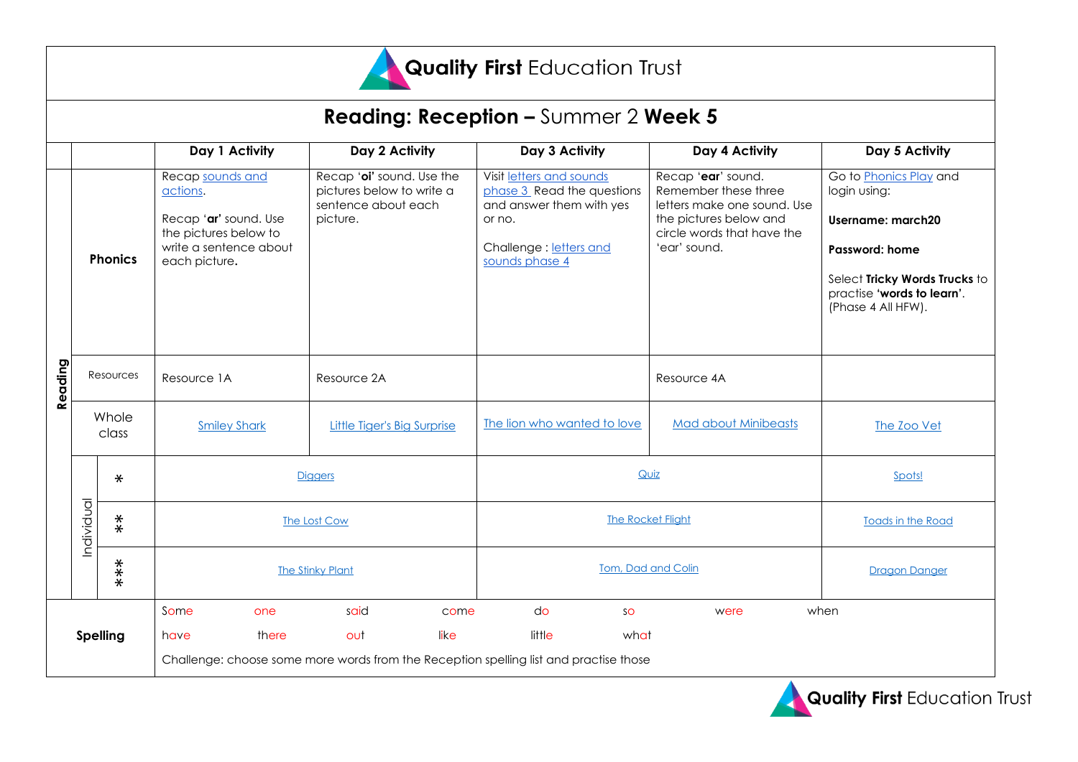

| <b>Reading: Reception – Summer 2 Week 5</b> |                |                  |                                                                                                                           |                                                                                           |      |                                                                                                                                          |                                                                                                                                                   |                                                                                                                                                                           |
|---------------------------------------------|----------------|------------------|---------------------------------------------------------------------------------------------------------------------------|-------------------------------------------------------------------------------------------|------|------------------------------------------------------------------------------------------------------------------------------------------|---------------------------------------------------------------------------------------------------------------------------------------------------|---------------------------------------------------------------------------------------------------------------------------------------------------------------------------|
|                                             |                |                  | Day 1 Activity                                                                                                            | Day 2 Activity                                                                            |      | Day 3 Activity                                                                                                                           | Day 4 Activity                                                                                                                                    | Day 5 Activity                                                                                                                                                            |
| Reading                                     | <b>Phonics</b> |                  | Recap sounds and<br>actions.<br>Recap 'ar' sound. Use<br>the pictures below to<br>write a sentence about<br>each picture. | Recap 'oi' sound. Use the<br>pictures below to write a<br>sentence about each<br>picture. |      | Visit letters and sounds<br>phase 3 Read the questions<br>and answer them with yes<br>or no.<br>Challenge: letters and<br>sounds phase 4 | Recap 'ear' sound.<br>Remember these three<br>letters make one sound. Use<br>the pictures below and<br>circle words that have the<br>'ear' sound. | Go to Phonics Play and<br>login using:<br><b>Username: march20</b><br>Password: home<br>Select Tricky Words Trucks to<br>practise 'words to learn'.<br>(Phase 4 All HFW). |
|                                             | Resources      |                  | Resource 1A                                                                                                               | Resource 2A                                                                               |      |                                                                                                                                          | Resource 4A                                                                                                                                       |                                                                                                                                                                           |
|                                             | Whole<br>class |                  | <b>Smiley Shark</b>                                                                                                       | <b>Little Tiger's Big Surprise</b>                                                        |      | The lion who wanted to love                                                                                                              | <b>Mad about Minibeasts</b>                                                                                                                       | The Zoo Vet                                                                                                                                                               |
|                                             | Individual     | $\ast$           | <b>Diggers</b>                                                                                                            |                                                                                           |      | Quiz                                                                                                                                     |                                                                                                                                                   | Spots!                                                                                                                                                                    |
|                                             |                | $\overset{*}{*}$ | The Lost Cow                                                                                                              |                                                                                           |      | <b>The Rocket Flight</b>                                                                                                                 |                                                                                                                                                   | Toads in the Road                                                                                                                                                         |
|                                             |                | $***$            | The Stinky Plant                                                                                                          |                                                                                           |      | Tom, Dad and Colin                                                                                                                       |                                                                                                                                                   | <b>Dragon Danger</b>                                                                                                                                                      |
|                                             |                |                  | Some<br>one                                                                                                               | said                                                                                      | come | do<br>SO                                                                                                                                 | were                                                                                                                                              | when                                                                                                                                                                      |
| <b>Spelling</b>                             |                |                  | there<br>have                                                                                                             | like<br>out                                                                               |      | little<br>what                                                                                                                           |                                                                                                                                                   |                                                                                                                                                                           |
|                                             |                |                  | Challenge: choose some more words from the Reception spelling list and practise those                                     |                                                                                           |      |                                                                                                                                          |                                                                                                                                                   |                                                                                                                                                                           |

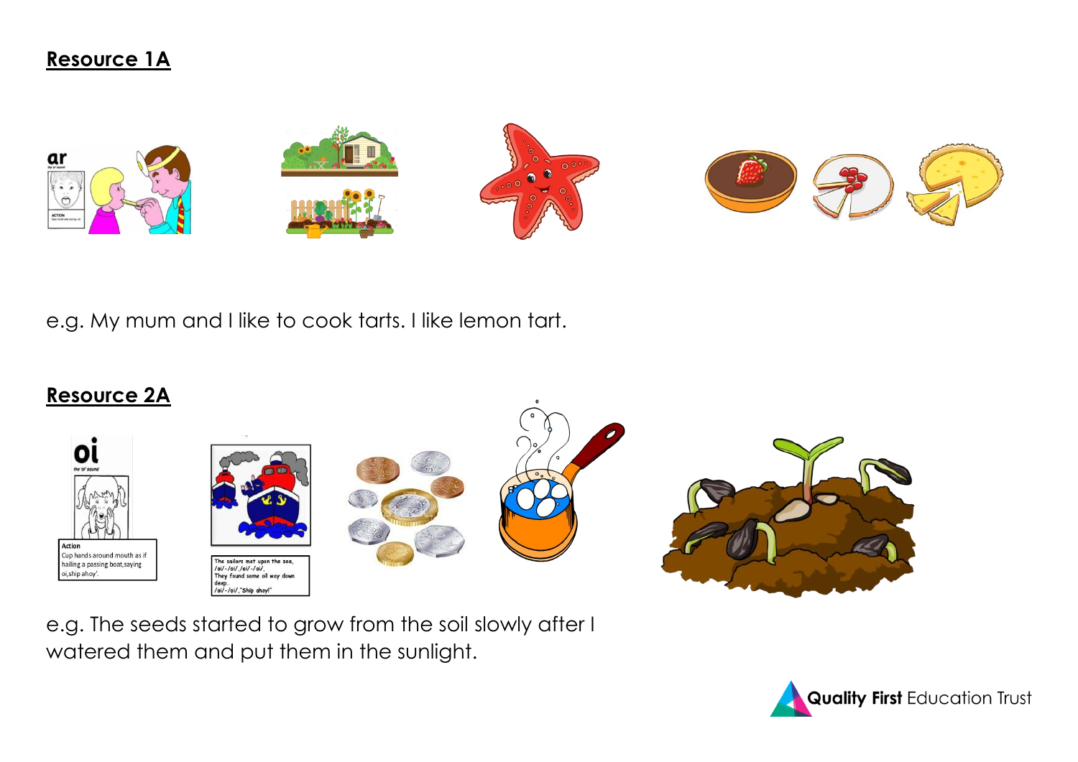



e.g. My mum and I like to cook tarts. I like lemon tart.

## **Resource 2A**











e.g. The seeds started to grow from the soil slowly after I watered them and put them in the sunlight.

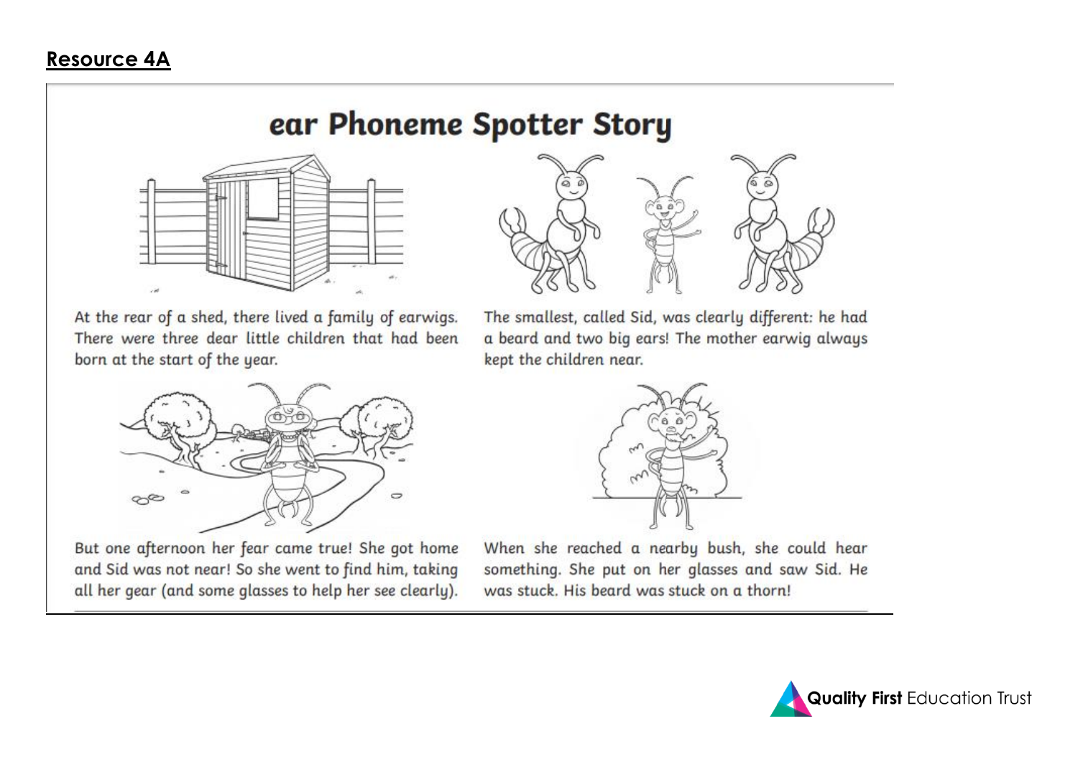## Resource 4A

## ear Phoneme Spotter Story



At the rear of a shed, there lived a family of earwigs. There were three dear little children that had been born at the start of the year.



The smallest, called Sid, was clearly different: he had a beard and two big ears! The mother earwig always kept the children near.



But one afternoon her fear came true! She got home and Sid was not near! So she went to find him, taking all her gear (and some glasses to help her see clearly).



When she reached a nearby bush, she could hear something. She put on her glasses and saw Sid. He was stuck. His beard was stuck on a thorn!